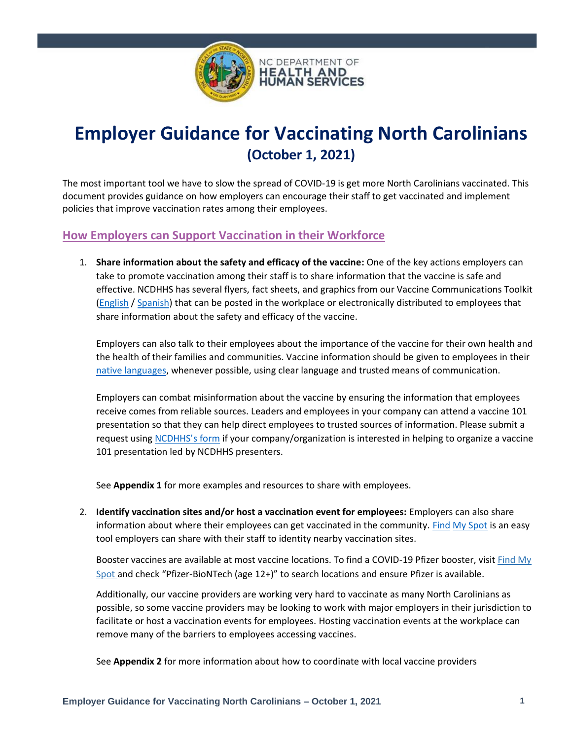

# **Employer Guidance for Vaccinating North Carolinians (October 1, 2021)**

The most important tool we have to slow the spread of COVID-19 is get more North Carolinians vaccinated. This document provides guidance on how employers can encourage their staff to get vaccinated and implement policies that improve vaccination rates among their employees.

## **How Employers can Support Vaccination in their Workforce**

1. **Share information about the safety and efficacy of the vaccine:** One of the key actions employers can take to promote vaccination among their staff is to share information that the vaccine is safe and effective. NCDHHS has several flyers, fact sheets, and graphics from our Vaccine Communications Toolkit [\(English](https://covid19.ncdhhs.gov/vaccines/covid-19-vaccine-communications-toolkit) / [Spanish\)](https://covid19.ncdhhs.gov/vaccines/covid-19-vaccine-communications-toolkit#fact-sheets) that can be posted in the workplace or electronically distributed to employees that share information about the safety and efficacy of the vaccine.

Employers can also talk to their employees about the importance of the vaccine for their own health and the health of their families and communities. Vaccine information should be given to employees in their [native languages,](https://www.cdc.gov/coronavirus/2019-ncov/community/communication-plan.html#anchor_1596306526587) whenever possible, using clear language and trusted means of communication.

Employers can combat misinformation about the vaccine by ensuring the information that employees receive comes from reliable sources. Leaders and employees in your company can attend a vaccine 101 presentation so that they can help direct employees to trusted sources of information. Please submit a request using [NCDHHS's form](https://forms.office.com/Pages/ResponsePage.aspx?id=3IF2etC5mkSFw-zCbNftGRbPpOBqzfFDizYhT3QgAVdUN0ZQMUlGUDYyUUEzMVdRRENYQUZPUVc1VC4u) if your company/organization is interested in helping to organize a vaccine 101 presentation led by NCDHHS presenters.

See **Appendix 1** for more examples and resources to share with employees.

2. **Identify vaccination sites and/or host a vaccination event for employees:** Employers can also share information about where their employees can get vaccinated in the community. [Find](https://covid19.ncdhhs.gov/vaccines) [My Spot](https://covid19.ncdhhs.gov/vaccines) is an easy tool employers can share with their staff to identity nearby vaccination sites.

Booster vaccines are available at most vaccine locations. To find a COVID-19 Pfizer booster, visit [Find](https://covid19.ncdhhs.gov/vaccines) [My](https://covid19.ncdhhs.gov/vaccines)  [Spot](https://covid19.ncdhhs.gov/vaccines) and check "Pfizer-BioNTech (age 12+)" to search locations and ensure Pfizer is available.

Additionally, our vaccine providers are working very hard to vaccinate as many North Carolinians as possible, so some vaccine providers may be looking to work with major employers in their jurisdiction to facilitate or host a vaccination events for employees. Hosting vaccination events at the workplace can remove many of the barriers to employees accessing vaccines.

See **Appendix 2** for more information about how to coordinate with local vaccine providers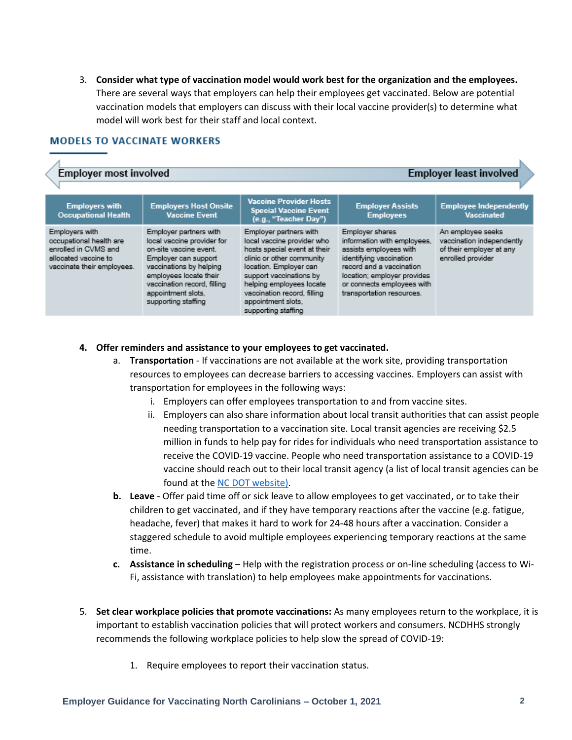3. **Consider what type of vaccination model would work best for the organization and the employees.**  There are several ways that employers can help their employees get vaccinated. Below are potential vaccination models that employers can discuss with their local vaccine provider(s) to determine what model will work best for their staff and local context.

#### **MODELS TO VACCINATE WORKERS**

| <b>Employer most involved</b>                                                                                           |                                                                                                                                                                                                                                         | <b>Employer least involved</b>                                                                                                                                                                                                                                                 |                                                                                                                                                                                                                           |                                                                                                 |
|-------------------------------------------------------------------------------------------------------------------------|-----------------------------------------------------------------------------------------------------------------------------------------------------------------------------------------------------------------------------------------|--------------------------------------------------------------------------------------------------------------------------------------------------------------------------------------------------------------------------------------------------------------------------------|---------------------------------------------------------------------------------------------------------------------------------------------------------------------------------------------------------------------------|-------------------------------------------------------------------------------------------------|
| <b>Employers with</b><br><b>Occupational Health</b>                                                                     | <b>Employers Host Onsite</b><br><b>Vaccine Event</b>                                                                                                                                                                                    | <b>Vaccine Provider Hosts</b><br><b>Special Vaccine Event</b><br>(e.g., "Teacher Day")                                                                                                                                                                                         | <b>Employer Assists</b><br><b>Employees</b>                                                                                                                                                                               | <b>Employee Independently</b><br><b>Vaccinated</b>                                              |
| Employers with<br>occupational health are<br>enrolled in CVMS and<br>allocated vaccine to<br>vaccinate their employees. | Employer partners with<br>local vaccine provider for<br>on-site vaccine event.<br>Employer can support<br>vaccinations by helping<br>employees locate their<br>vaccination record, filling<br>appointment slots.<br>supporting staffing | Employer partners with<br>local vaccine provider who<br>hosts special event at their<br>clinic or other community<br>location. Employer can<br>support vaccinations by<br>helping employees locate<br>vaccination record, filling<br>appointment slots,<br>supporting staffing | Employer shares<br>information with employees.<br>assists employees with<br>identifying vaccination<br>record and a vaccination<br>location; employer provides<br>or connects employees with<br>transportation resources. | An employee seeks<br>vaccination independently<br>of their employer at any<br>enrolled provider |

#### **4. Offer reminders and assistance to your employees to get vaccinated.**

- a. **Transportation** If vaccinations are not available at the work site, providing transportation resources to employees can decrease barriers to accessing vaccines. Employers can assist with transportation for employees in the following ways:
	- i. Employers can offer employees transportation to and from vaccine sites.
	- ii. Employers can also share information about local transit authorities that can assist people needing transportation to a vaccination site. Local transit agencies are receiving \$2.5 million in funds to help pay for rides for individuals who need transportation assistance to receive the COVID-19 vaccine. People who need transportation assistance to a COVID-19 vaccine should reach out to their local transit agency (a list of local transit agencies can be found at the [NC DOT website\)](https://www.ncdot.gov/divisions/public-transit/Documents/NC_public_transit.pdf).
- **b. Leave** Offer paid time off or sick leave to allow employees to get vaccinated, or to take their children to get vaccinated, and if they have temporary reactions after the vaccine (e.g. fatigue, headache, fever) that makes it hard to work for 24-48 hours after a vaccination. Consider a staggered schedule to avoid multiple employees experiencing temporary reactions at the same time.
- **c. Assistance in scheduling** Help with the registration process or on-line scheduling (access to Wi-Fi, assistance with translation) to help employees make appointments for vaccinations.
- 5. **Set clear workplace policies that promote vaccinations:** As many employees return to the workplace, it is important to establish vaccination policies that will protect workers and consumers. NCDHHS strongly recommends the following workplace policies to help slow the spread of COVID-19:
	- 1. Require employees to report their vaccination status.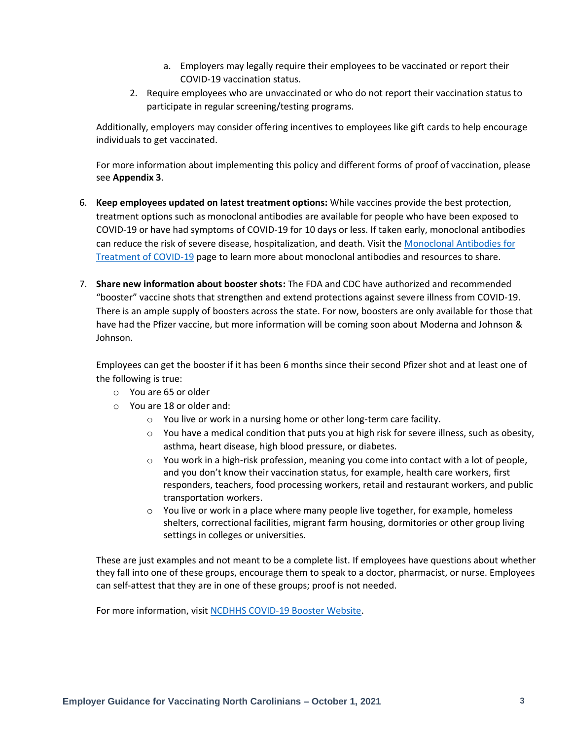- a. Employers may legally require their employees to be vaccinated or report their COVID-19 vaccination status.
- 2. Require employees who are unvaccinated or who do not report their vaccination status to participate in regular screening/testing programs.

Additionally, employers may consider offering incentives to employees like gift cards to help encourage individuals to get vaccinated.

For more information about implementing this policy and different forms of proof of vaccination, please see **Appendix 3**.

- 6. **Keep employees updated on latest treatment options:** While vaccines provide the best protection, treatment options such as monoclonal antibodies are available for people who have been exposed to COVID-19 or have had symptoms of COVID-19 for 10 days or less. If taken early, monoclonal antibodies can reduce the risk of severe disease, hospitalization, and death. Visit the [Monoclonal Antibodies for](https://covid19.ncdhhs.gov/treatment#where-can-i-find-more-information)  [Treatment of COVID-19](https://covid19.ncdhhs.gov/treatment#where-can-i-find-more-information) page to learn more about monoclonal antibodies and resources to share.
- 7. **Share new information about booster shots:** The FDA and CDC have authorized and recommended "booster" vaccine shots that strengthen and extend protections against severe illness from COVID-19. There is an ample supply of boosters across the state. For now, boosters are only available for those that have had the Pfizer vaccine, but more information will be coming soon about Moderna and Johnson & Johnson.

Employees can get the booster if it has been 6 months since their second Pfizer shot and at least one of the following is true:

- o You are 65 or older
- o You are 18 or older and:
	- o You live or work in a nursing home or other long-term care facility.
	- $\circ$  You have a medical condition that puts you at high risk for severe illness, such as obesity, asthma, heart disease, high blood pressure, or diabetes.
	- $\circ$  You work in a high-risk profession, meaning you come into contact with a lot of people, and you don't know their vaccination status, for example, health care workers, first responders, teachers, food processing workers, retail and restaurant workers, and public transportation workers.
	- $\circ$  You live or work in a place where many people live together, for example, homeless shelters, correctional facilities, migrant farm housing, dormitories or other group living settings in colleges or universities.

These are just examples and not meant to be a complete list. If employees have questions about whether they fall into one of these groups, encourage them to speak to a doctor, pharmacist, or nurse. Employees can self-attest that they are in one of these groups; proof is not needed.

For more information, visit [NCDHHS COVID-19 Booster Website.](https://covid19.ncdhhs.gov/vaccines/covid-19-vaccine-additional-doses-and-boosters)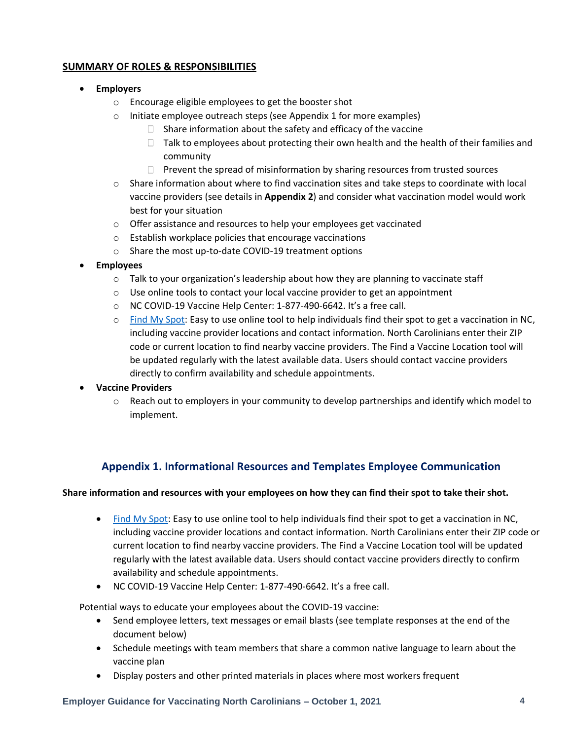### **SUMMARY OF ROLES & RESPONSIBILITIES**

#### • **Employers**

- o Encourage eligible employees to get the booster shot
- o Initiate employee outreach steps (see Appendix 1 for more examples)
	- $\Box$  Share information about the safety and efficacy of the vaccine
	- $\Box$  Talk to employees about protecting their own health and the health of their families and community
	- $\Box$  Prevent the spread of misinformation by sharing resources from trusted sources
- $\circ$  Share information about where to find vaccination sites and take steps to coordinate with local vaccine providers (see details in **Appendix 2**) and consider what vaccination model would work best for your situation
- $\circ$  Offer assistance and resources to help your employees get vaccinated
- o Establish workplace policies that encourage vaccinations
- o Share the most up-to-date COVID-19 treatment options

#### • **Employees**

- $\circ$  Talk to your organization's leadership about how they are planning to vaccinate staff
- $\circ$  Use onlin[e tools](https://myspot.nc.gov/map-view) to contact your local vaccine provider to get an appointment
- o NC COVID-19 Vaccine Help Center: 1-877-490-6642. It's a free call.
- o [Find My Spot:](https://myspot.nc.gov/map-view) Easy to use online tool to help individuals find their spot to get a vaccination in NC, including vaccine provider locations and contact information. North Carolinians enter their ZIP code or current location to find nearby vaccine providers. The Find a Vaccine Location tool will be updated regularly with the latest available data. Users should contact vaccine providers directly to confirm availability and schedule appointments.

#### • **Vaccine Providers**

 $\circ$  Reach out to employers in your community to develop partnerships and identify which model to implement.

## **Appendix 1. Informational Resources and Templates Employee Communication**

#### **Share information and resources with your employees on how they can find their spot to take their shot.**

- [Find My Spot:](https://myspot.nc.gov/map-view) Easy to use online tool to help individuals find their spot to get a vaccination in NC, including vaccine provider locations and contact information. North Carolinians enter their ZIP code or current location to find nearby vaccine providers. The Find a Vaccine Location tool will be updated regularly with the latest available data. Users should contact vaccine providers directly to confirm availability and schedule appointments.
- NC COVID-19 Vaccine Help Center: 1-877-490-6642. It's a free call.

Potential ways to educate your employees about the COVID-19 vaccine:

- Send employee letters, text messages or email blasts (see template responses at the end of the document below)
- Schedule meetings with team members that share a common native language to learn about the vaccine plan
- Display posters and other printed materials in places where most workers frequent

#### **Employer Guidance for Vaccinating North Carolinians – October 1, 2021 4**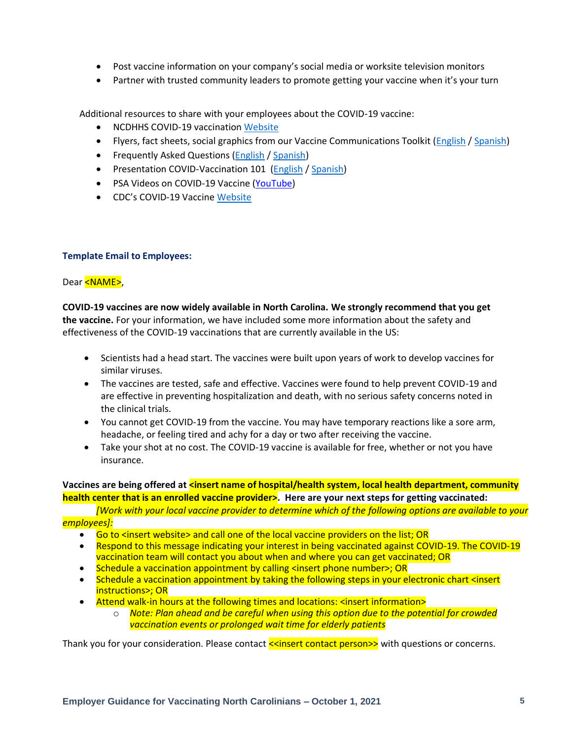- Post vaccine information on your company's social media or worksite television monitors
- Partner with trusted community leaders to promote getting your vaccine when it's your turn

Additional resources to share with your employees about the COVID-19 vaccine:

- NCDHHS COVID-19 vaccination [Website](https://covid19.ncdhhs.gov/vaccines)
- Flyers, fact sheets, social graphics from our Vaccine Communications Toolkit [\(English](https://covid19.ncdhhs.gov/vaccines/covid-19-vaccine-communications-toolkit) [/ Spanish\)](https://covid19.ncdhhs.gov/vaccines/covid-19-vaccine-communications-toolkit#fact-sheets)
- Frequently Asked Questions [\(English](https://files.nc.gov/covid/documents/COVID-19-Vaccine-Update.pdf) / [Spanish\)](https://covid19.ncdhhs.gov/vaccines/frequently-asked-questions/preguntas-frecuentes)
- Presentation COVID-Vaccination 101 [\(English](https://files.nc.gov/covid/documents/COVID19-Vaccine-101-Deck-Final.pdf) [/ Spanish\)](https://files.nc.gov/covid/documents/vaccines/Presentacion-Vacunacion-COVID-19.pdf)
- PSA Videos on COVID-19 Vaccine [\(YouTube\)](https://www.youtube.com/playlist?list=PLUadR7S9ykdnCrnT-x-2vnc0qZU7JsGit)
- CDC's COVID-19 Vaccine [Website](https://www.cdc.gov/vaccines/covid-19/index.html)

#### **Template Email to Employees:**

Dear <NAME>,

**COVID-19 vaccines are now widely available in North Carolina. We strongly recommend that you get the vaccine.** For your information, we have included some more information about the safety and effectiveness of the COVID-19 vaccinations that are currently available in the US:

- Scientists had a head start. The vaccines were built upon years of work to develop vaccines for similar viruses.
- The vaccines are tested, safe and effective. Vaccines were found to help prevent COVID-19 and are effective in preventing hospitalization and death, with no serious safety concerns noted in the clinical trials.
- You cannot get COVID-19 from the vaccine. You may have temporary reactions like a sore arm, headache, or feeling tired and achy for a day or two after receiving the vaccine.
- Take your shot at no cost. The COVID-19 vaccine is available for free, whether or not you have insurance.

Vaccines are being offered at **<insert name of hospital/health system, local health department, community health center that is an enrolled vaccine provider>. Here are your next steps for getting vaccinated:**

*[Work with your local vaccine provider to determine which of the following options are available to your employees]:*

- Go to <insert website> and call one of the local vaccine providers on the list; OR
- Respond to this message indicating your interest in being vaccinated against COVID-19. The COVID-19 vaccination team will contact you about when and where you can get vaccinated; OR
- Schedule a vaccination appointment by calling <insert phone number>; OR
- Schedule a vaccination appointment by taking the following steps in your electronic chart <insert instructions>; OR
- Attend walk-in hours at the following times and locations: <insert information>
	- o *Note: Plan ahead and be careful when using this option due to the potential for crowded vaccination events or prolonged wait time for elderly patients*

Thank you for your consideration. Please contact  $\leq$ insert contact person>> with questions or concerns.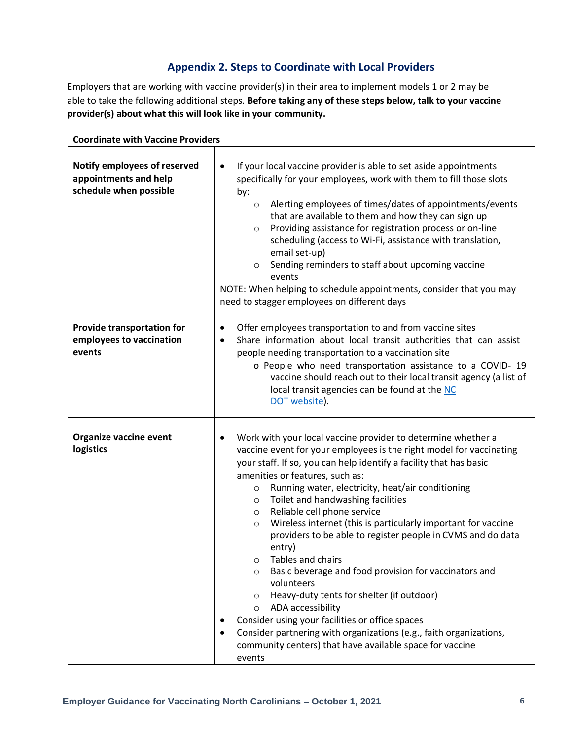## **Appendix 2. Steps to Coordinate with Local Providers**

Employers that are working with vaccine provider(s) in their area to implement models 1 or 2 may be able to take the following additional steps. **Before taking any of these steps below, talk to your vaccine provider(s) about what this will look like in your community.**

| <b>Coordinate with Vaccine Providers</b>                                        |                                                                                                                                                                                                                                                                                                                                                                                                                                                                                                                                                                                                                                                                                                                                                                                                                                                                                                                                                                                        |  |  |
|---------------------------------------------------------------------------------|----------------------------------------------------------------------------------------------------------------------------------------------------------------------------------------------------------------------------------------------------------------------------------------------------------------------------------------------------------------------------------------------------------------------------------------------------------------------------------------------------------------------------------------------------------------------------------------------------------------------------------------------------------------------------------------------------------------------------------------------------------------------------------------------------------------------------------------------------------------------------------------------------------------------------------------------------------------------------------------|--|--|
| Notify employees of reserved<br>appointments and help<br>schedule when possible | If your local vaccine provider is able to set aside appointments<br>$\bullet$<br>specifically for your employees, work with them to fill those slots<br>by:<br>Alerting employees of times/dates of appointments/events<br>$\circ$<br>that are available to them and how they can sign up<br>Providing assistance for registration process or on-line<br>$\circ$<br>scheduling (access to Wi-Fi, assistance with translation,<br>email set-up)<br>Sending reminders to staff about upcoming vaccine<br>$\circ$<br>events<br>NOTE: When helping to schedule appointments, consider that you may<br>need to stagger employees on different days                                                                                                                                                                                                                                                                                                                                          |  |  |
| Provide transportation for<br>employees to vaccination<br>events                | Offer employees transportation to and from vaccine sites<br>$\bullet$<br>Share information about local transit authorities that can assist<br>$\bullet$<br>people needing transportation to a vaccination site<br>o People who need transportation assistance to a COVID-19<br>vaccine should reach out to their local transit agency (a list of<br>local transit agencies can be found at the NC<br>DOT website).                                                                                                                                                                                                                                                                                                                                                                                                                                                                                                                                                                     |  |  |
| Organize vaccine event<br>logistics                                             | Work with your local vaccine provider to determine whether a<br>٠<br>vaccine event for your employees is the right model for vaccinating<br>your staff. If so, you can help identify a facility that has basic<br>amenities or features, such as:<br>Running water, electricity, heat/air conditioning<br>$\circ$<br>Toilet and handwashing facilities<br>$\circ$<br>Reliable cell phone service<br>$\circ$<br>Wireless internet (this is particularly important for vaccine<br>$\circ$<br>providers to be able to register people in CVMS and do data<br>entry)<br>Tables and chairs<br>$\circ$<br>Basic beverage and food provision for vaccinators and<br>$\circ$<br>volunteers<br>Heavy-duty tents for shelter (if outdoor)<br>$\circ$<br>ADA accessibility<br>$\circ$<br>Consider using your facilities or office spaces<br>Consider partnering with organizations (e.g., faith organizations,<br>$\bullet$<br>community centers) that have available space for vaccine<br>events |  |  |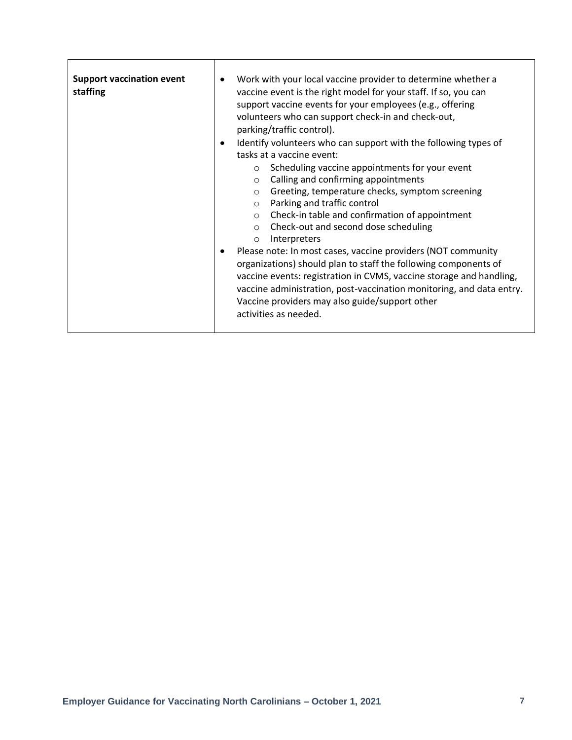| <b>Support vaccination event</b><br>staffing | Work with your local vaccine provider to determine whether a<br>vaccine event is the right model for your staff. If so, you can<br>support vaccine events for your employees (e.g., offering<br>volunteers who can support check-in and check-out,<br>parking/traffic control).<br>Identify volunteers who can support with the following types of<br>tasks at a vaccine event:<br>Scheduling vaccine appointments for your event<br>$\circ$<br>Calling and confirming appointments<br>$\circ$<br>Greeting, temperature checks, symptom screening<br>$\circ$<br>Parking and traffic control<br>$\circ$<br>Check-in table and confirmation of appointment<br>$\circ$<br>Check-out and second dose scheduling<br>$\circ$<br>Interpreters<br>$\circ$<br>Please note: In most cases, vaccine providers (NOT community<br>organizations) should plan to staff the following components of<br>vaccine events: registration in CVMS, vaccine storage and handling,<br>vaccine administration, post-vaccination monitoring, and data entry.<br>Vaccine providers may also guide/support other<br>activities as needed. |
|----------------------------------------------|----------------------------------------------------------------------------------------------------------------------------------------------------------------------------------------------------------------------------------------------------------------------------------------------------------------------------------------------------------------------------------------------------------------------------------------------------------------------------------------------------------------------------------------------------------------------------------------------------------------------------------------------------------------------------------------------------------------------------------------------------------------------------------------------------------------------------------------------------------------------------------------------------------------------------------------------------------------------------------------------------------------------------------------------------------------------------------------------------------------|